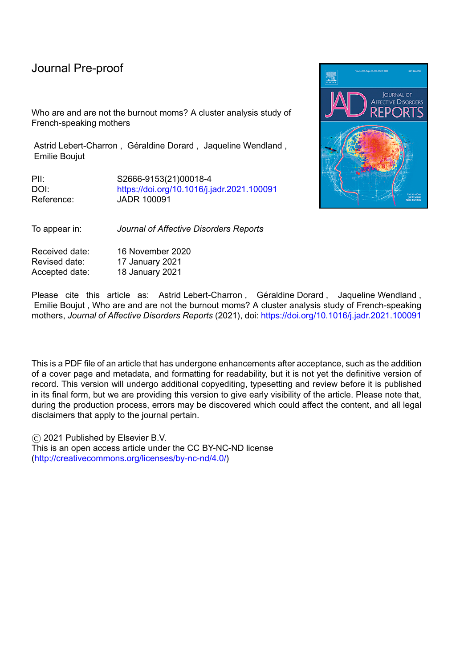Who are and are not the burnout moms? A cluster analysis study of French-speaking mothers

Astrid Lebert-Charron, Géraldine Dorard, Jaqueline Wendland, Emilie Boujut

PII: S2666-9153(21)00018-4 DOI: <https://doi.org/10.1016/j.jadr.2021.100091> Reference: JADR 100091

To appear in: *Journal of Affective Disorders Reports*

Received date: 16 November 2020 Revised date: 17 January 2021 Accepted date: 18 January 2021



Please cite this article as: Astrid Lebert-Charron, Géraldine Dorard, Jaqueline Wendland, Emilie Boujut , Who are and are not the burnout moms? A cluster analysis study of French-speaking mothers, *Journal of Affective Disorders Reports* (2021), doi: <https://doi.org/10.1016/j.jadr.2021.100091>

This is a PDF file of an article that has undergone enhancements after acceptance, such as the addition of a cover page and metadata, and formatting for readability, but it is not yet the definitive version of record. This version will undergo additional copyediting, typesetting and review before it is published in its final form, but we are providing this version to give early visibility of the article. Please note that, during the production process, errors may be discovered which could affect the content, and all legal disclaimers that apply to the journal pertain.

© 2021 Published by Elsevier B.V.

This is an open access article under the CC BY-NC-ND license [\(http://creativecommons.org/licenses/by-nc-nd/4.0/\)](http://creativecommons.org/licenses/by-nc-nd/4.0/)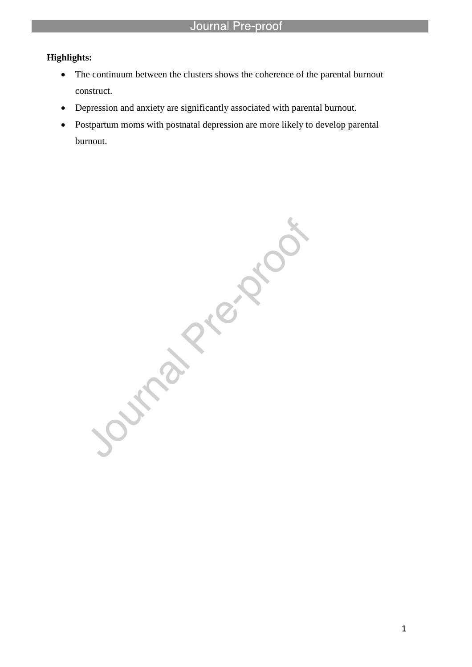# **Highlights:**

- The continuum between the clusters shows the coherence of the parental burnout construct.
- Depression and anxiety are significantly associated with parental burnout.

l

 Postpartum moms with postnatal depression are more likely to develop parental burnout.

Outrat Rigida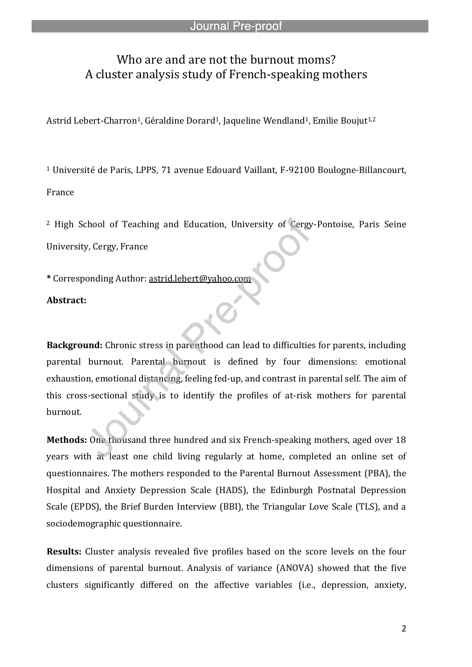# Who are and are not the burnout moms? A cluster analysis study of French-speaking mothers

Astrid Lebert-Charron<sup>1</sup>, Géraldine Dorard<sup>1</sup>, Jaqueline Wendland<sup>1</sup>, Emilie Boujut<sup>1,2</sup>

l

<sup>1</sup> Université de Paris, LPPS, 71 avenue Edouard Vaillant, F-92100 Boulogne-Billancourt, France

<sup>2</sup> High School of Teaching and Education, University of Cergy-Pontoise, Paris Seine University, Cergy, France

**\*** Corresponding Author: astrid.lebert@yahoo.com

# **Abstract:**

**Background:** Chronic stress in parenthood can lead to difficulties for parents, including parental burnout. Parental burnout is defined by four dimensions: emotional exhaustion, emotional distancing, feeling fed-up, and contrast in parental self. The aim of this cross-sectional study is to identify the profiles of at-risk mothers for parental burnout.

**Methods:** One thousand three hundred and six French-speaking mothers, aged over 18 years with at least one child living regularly at home, completed an online set of questionnaires. The mothers responded to the Parental Burnout Assessment (PBA), the Hospital and Anxiety Depression Scale (HADS), the Edinburgh Postnatal Depression Scale (EPDS), the Brief Burden Interview (BBI), the Triangular Love Scale (TLS), and a sociodemographic questionnaire.

**Results:** Cluster analysis revealed five profiles based on the score levels on the four dimensions of parental burnout. Analysis of variance (ANOVA) showed that the five clusters significantly differed on the affective variables (i.e., depression, anxiety,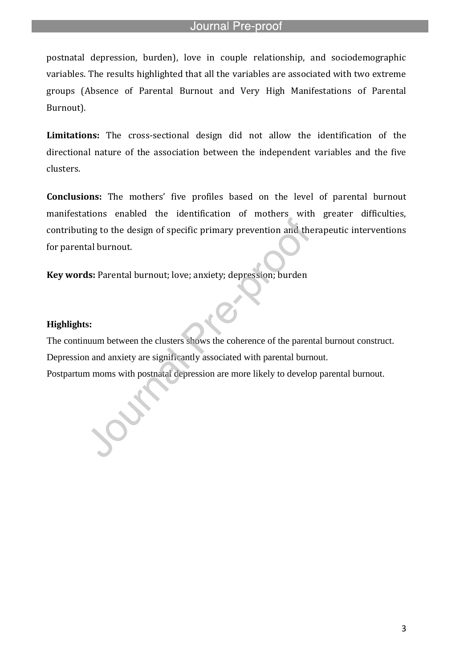postnatal depression, burden), love in couple relationship, and sociodemographic variables. The results highlighted that all the variables are associated with two extreme groups (Absence of Parental Burnout and Very High Manifestations of Parental Burnout).

**Limitations:** The cross-sectional design did not allow the identification of the directional nature of the association between the independent variables and the five clusters.

**Conclusions:** The mothers' five profiles based on the level of parental burnout manifestations enabled the identification of mothers with greater difficulties, contributing to the design of specific primary prevention and therapeutic interventions for parental burnout.

**Key words:** Parental burnout; love; anxiety; depression; burden

l

# **Highlights:**

The continuum between the clusters shows the coherence of the parental burnout construct. Depression and anxiety are significantly associated with parental burnout. Postpartum moms with postnatal depression are more likely to develop parental burnout.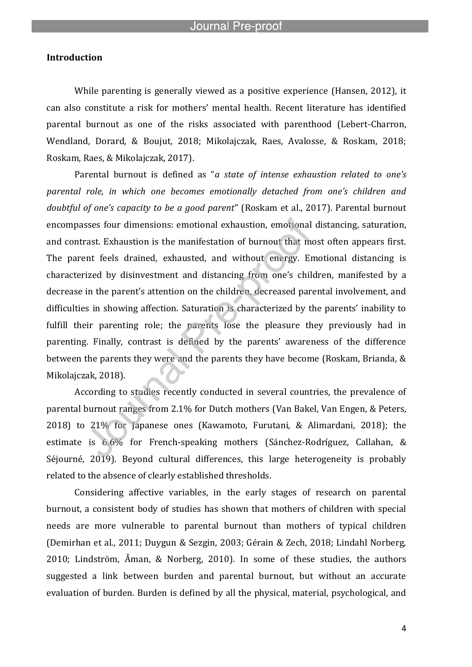l

# **Introduction**

While parenting is generally viewed as a positive experience (Hansen, 2012), it can also constitute a risk for mothers' mental health. Recent literature has identified parental burnout as one of the risks associated with parenthood (Lebert-Charron, Wendland, Dorard, & Boujut, 2018; Mikolajczak, Raes, Avalosse, & Roskam, 2018; Roskam, Raes, & Mikolajczak, 2017).

Parental burnout is defined as "*a state of intense exhaustion related to one's parental role, in which one becomes emotionally detached from one's children and doubtful of one's capacity to be a good parent*" (Roskam et al., 2017). Parental burnout encompasses four dimensions: emotional exhaustion, emotional distancing, saturation, and contrast. Exhaustion is the manifestation of burnout that most often appears first. The parent feels drained, exhausted, and without energy. Emotional distancing is characterized by disinvestment and distancing from one's children, manifested by a decrease in the parent's attention on the children, decreased parental involvement, and difficulties in showing affection. Saturation is characterized by the parents' inability to fulfill their parenting role; the parents lose the pleasure they previously had in parenting. Finally, contrast is defined by the parents' awareness of the difference between the parents they were and the parents they have become (Roskam, Brianda, & Mikolajczak, 2018).

According to studies recently conducted in several countries, the prevalence of parental burnout ranges from 2.1% for Dutch mothers (Van Bakel, Van Engen, & Peters, 2018) to 21% for Japanese ones (Kawamoto, Furutani, & Alimardani, 2018); the estimate is 6.6% for French-speaking mothers (Sánchez-Rodríguez, Callahan, & Séjourné, 2019). Beyond cultural differences, this large heterogeneity is probably related to the absence of clearly established thresholds.

Considering affective variables, in the early stages of research on parental burnout, a consistent body of studies has shown that mothers of children with special needs are more vulnerable to parental burnout than mothers of typical children (Demirhan et al., 2011; Duygun & Sezgin, 2003; Gérain & Zech, 2018; Lindahl Norberg, 2010; Lindström, Åman, & Norberg, 2010). In some of these studies, the authors suggested a link between burden and parental burnout, but without an accurate evaluation of burden. Burden is defined by all the physical, material, psychological, and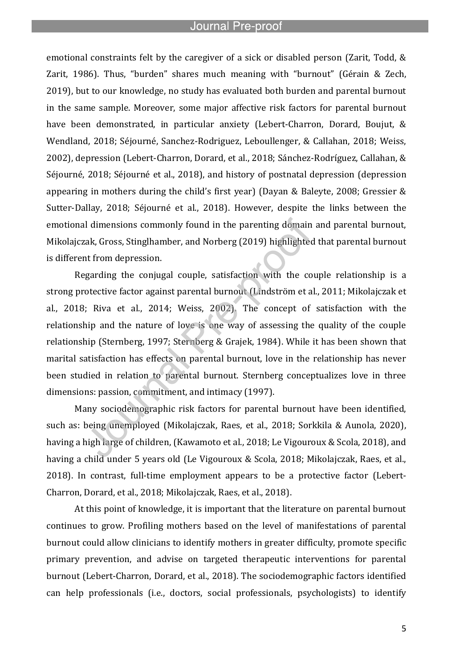l

emotional constraints felt by the caregiver of a sick or disabled person (Zarit, Todd, & Zarit, 1986). Thus, "burden" shares much meaning with "burnout" (Gérain & Zech, 2019), but to our knowledge, no study has evaluated both burden and parental burnout in the same sample. Moreover, some major affective risk factors for parental burnout have been demonstrated, in particular anxiety (Lebert-Charron, Dorard, Boujut, & Wendland, 2018; Séjourné, Sanchez-Rodriguez, Leboullenger, & Callahan, 2018; Weiss, 2002), depression (Lebert-Charron, Dorard, et al., 2018; Sánchez-Rodríguez, Callahan, & Séjourné, 2018; Séjourné et al., 2018), and history of postnatal depression (depression appearing in mothers during the child's first year) (Dayan & Baleyte, 2008; Gressier & Sutter-Dallay, 2018; Séjourné et al., 2018). However, despite the links between the emotional dimensions commonly found in the parenting domain and parental burnout, Mikolajczak, Gross, Stinglhamber, and Norberg (2019) highlighted that parental burnout is different from depression.

Regarding the conjugal couple, satisfaction with the couple relationship is a strong protective factor against parental burnout (Lindström et al., 2011; Mikolajczak et al., 2018; Riva et al., 2014; Weiss, 2002). The concept of satisfaction with the relationship and the nature of love is one way of assessing the quality of the couple relationship (Sternberg, 1997; Sternberg & Grajek, 1984). While it has been shown that marital satisfaction has effects on parental burnout, love in the relationship has never been studied in relation to parental burnout. Sternberg conceptualizes love in three dimensions: passion, commitment, and intimacy (1997).

Many sociodemographic risk factors for parental burnout have been identified, such as: being unemployed (Mikolajczak, Raes, et al., 2018; Sorkkila & Aunola, 2020), having a high large of children, (Kawamoto et al., 2018; Le Vigouroux & Scola, 2018), and having a child under 5 years old (Le Vigouroux & Scola, 2018; Mikolajczak, Raes, et al., 2018). In contrast, full-time employment appears to be a protective factor (Lebert-Charron, Dorard, et al., 2018; Mikolajczak, Raes, et al., 2018).

At this point of knowledge, it is important that the literature on parental burnout continues to grow. Profiling mothers based on the level of manifestations of parental burnout could allow clinicians to identify mothers in greater difficulty, promote specific primary prevention, and advise on targeted therapeutic interventions for parental burnout (Lebert-Charron, Dorard, et al., 2018). The sociodemographic factors identified can help professionals (i.e., doctors, social professionals, psychologists) to identify

5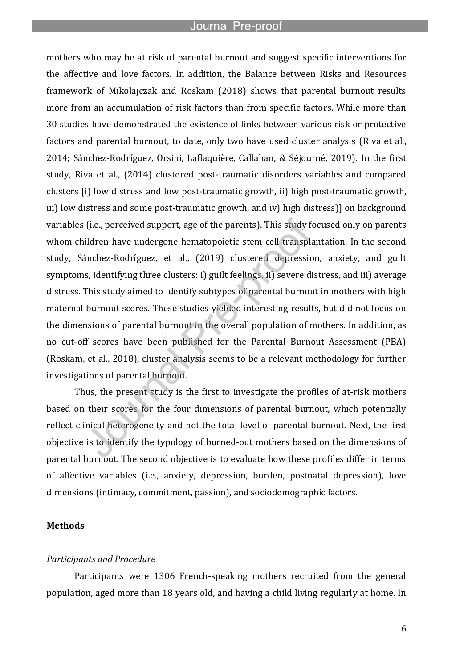l

mothers who may be at risk of parental burnout and suggest specific interventions for the affective and love factors. In addition, the Balance between Risks and Resources framework of Mikolajczak and Roskam (2018) shows that parental burnout results more from an accumulation of risk factors than from specific factors. While more than 30 studies have demonstrated the existence of links between various risk or protective factors and parental burnout, to date, only two have used cluster analysis (Riva et al., 2014; Sánchez-Rodríguez, Orsini, Laflaquière, Callahan, & Séjourné, 2019). In the first study, Riva et al., (2014) clustered post-traumatic disorders variables and compared clusters [i) low distress and low post-traumatic growth, ii) high post-traumatic growth, iii) low distress and some post-traumatic growth, and iv) high distress)] on background variables (i.e., perceived support, age of the parents). This study focused only on parents whom children have undergone hematopoietic stem cell transplantation. In the second study, Sánchez-Rodríguez, et al., (2019) clustered depression, anxiety, and guilt symptoms, identifying three clusters: i) guilt feelings, ii) severe distress, and iii) average distress. This study aimed to identify subtypes of parental burnout in mothers with high maternal burnout scores. These studies yielded interesting results, but did not focus on the dimensions of parental burnout in the overall population of mothers. In addition, as no cut-off scores have been published for the Parental Burnout Assessment (PBA) (Roskam, et al., 2018), cluster analysis seems to be a relevant methodology for further investigations of parental burnout.

Thus, the present study is the first to investigate the profiles of at-risk mothers based on their scores for the four dimensions of parental burnout, which potentially reflect clinical heterogeneity and not the total level of parental burnout. Next, the first objective is to identify the typology of burned-out mothers based on the dimensions of parental burnout. The second objective is to evaluate how these profiles differ in terms of affective variables (i.e., anxiety, depression, burden, postnatal depression), love dimensions (intimacy, commitment, passion), and sociodemographic factors.

# **Methods**

#### *Participants and Procedure*

Participants were 1306 French-speaking mothers recruited from the general population, aged more than 18 years old, and having a child living regularly at home. In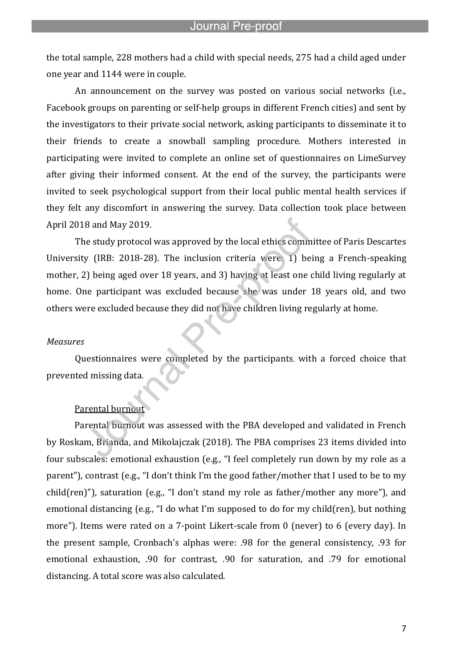the total sample, 228 mothers had a child with special needs, 275 had a child aged under one year and 1144 were in couple.

l

An announcement on the survey was posted on various social networks (i.e., Facebook groups on parenting or self-help groups in different French cities) and sent by the investigators to their private social network, asking participants to disseminate it to their friends to create a snowball sampling procedure. Mothers interested in participating were invited to complete an online set of questionnaires on LimeSurvey after giving their informed consent. At the end of the survey, the participants were invited to seek psychological support from their local public mental health services if they felt any discomfort in answering the survey. Data collection took place between April 2018 and May 2019.

The study protocol was approved by the local ethics committee of Paris Descartes University (IRB: 2018-28). The inclusion criteria were: 1) being a French-speaking mother, 2) being aged over 18 years, and 3) having at least one child living regularly at home. One participant was excluded because she was under 18 years old, and two others were excluded because they did not have children living regularly at home.

#### *Measures*

Questionnaires were completed by the participants, with a forced choice that prevented missing data.

# Parental burnout

Parental burnout was assessed with the PBA developed and validated in French by Roskam, Brianda, and Mikolajczak (2018). The PBA comprises 23 items divided into four subscales: emotional exhaustion (e.g., "I feel completely run down by my role as a parent"), contrast (e.g., "I don't think I'm the good father/mother that I used to be to my child(ren)"), saturation (e.g., "I don't stand my role as father/mother any more"), and emotional distancing (e.g., "I do what I'm supposed to do for my child(ren), but nothing more"). Items were rated on a 7-point Likert-scale from 0 (never) to 6 (every day). In the present sample, Cronbach's alphas were: .98 for the general consistency, .93 for emotional exhaustion, .90 for contrast, .90 for saturation, and .79 for emotional distancing. A total score was also calculated.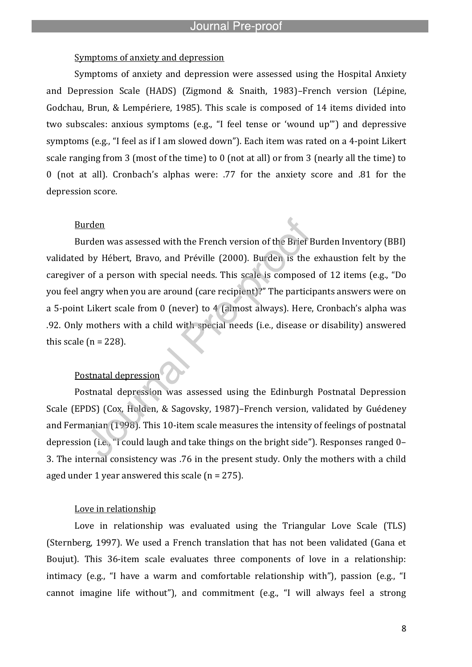## Symptoms of anxiety and depression

l

Symptoms of anxiety and depression were assessed using the Hospital Anxiety and Depression Scale (HADS) (Zigmond & Snaith, 1983)–French version (Lépine, Godchau, Brun, & Lempériere, 1985). This scale is composed of 14 items divided into two subscales: anxious symptoms (e.g., "I feel tense or 'wound up'") and depressive symptoms (e.g., "I feel as if I am slowed down"). Each item was rated on a 4-point Likert scale ranging from 3 (most of the time) to 0 (not at all) or from 3 (nearly all the time) to 0 (not at all). Cronbach's alphas were: .77 for the anxiety score and .81 for the depression score.

### Burden

Burden was assessed with the French version of the Brief Burden Inventory (BBI) validated by Hébert, Bravo, and Préville (2000). Burden is the exhaustion felt by the caregiver of a person with special needs. This scale is composed of 12 items (e.g., "Do you feel angry when you are around (care recipient)?" The participants answers were on a 5-point Likert scale from 0 (never) to 4 (almost always). Here, Cronbach's alpha was .92. Only mothers with a child with special needs (i.e., disease or disability) answered this scale  $(n = 228)$ .

# Postnatal depression

Postnatal depression was assessed using the Edinburgh Postnatal Depression Scale (EPDS) (Cox, Holden, & Sagovsky, 1987)–French version, validated by Guédeney and Fermanian (1998). This 10-item scale measures the intensity of feelings of postnatal depression (i.e., "I could laugh and take things on the bright side"). Responses ranged 0– 3. The internal consistency was .76 in the present study. Only the mothers with a child aged under 1 year answered this scale  $(n = 275)$ .

#### Love in relationship

Love in relationship was evaluated using the Triangular Love Scale (TLS) (Sternberg, 1997). We used a French translation that has not been validated (Gana et Boujut). This 36-item scale evaluates three components of love in a relationship: intimacy (e.g., "I have a warm and comfortable relationship with"), passion (e.g., "I cannot imagine life without"), and commitment (e.g., "I will always feel a strong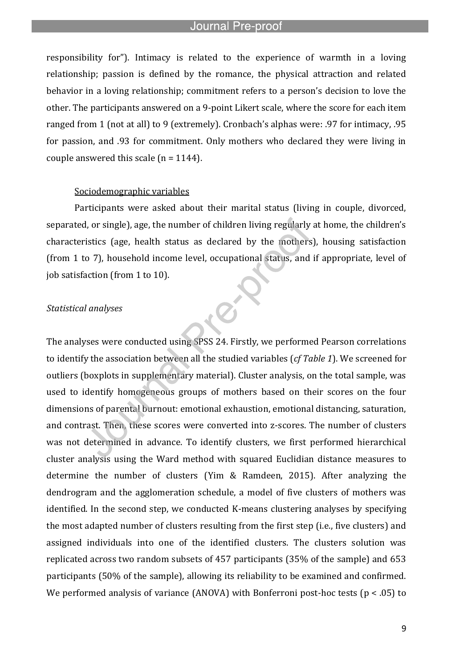responsibility for"). Intimacy is related to the experience of warmth in a loving relationship; passion is defined by the romance, the physical attraction and related behavior in a loving relationship; commitment refers to a person's decision to love the other. The participants answered on a 9-point Likert scale, where the score for each item ranged from 1 (not at all) to 9 (extremely). Cronbach's alphas were: .97 for intimacy, .95 for passion, and .93 for commitment. Only mothers who declared they were living in couple answered this scale  $(n = 1144)$ .

### Sociodemographic variables

l

Participants were asked about their marital status (living in couple, divorced, separated, or single), age, the number of children living regularly at home, the children's characteristics (age, health status as declared by the mothers), housing satisfaction (from 1 to 7), household income level, occupational status, and if appropriate, level of job satisfaction (from 1 to 10).

# *Statistical analyses*

The analyses were conducted using SPSS 24. Firstly, we performed Pearson correlations to identify the association between all the studied variables (*cf Table 1*). We screened for outliers (boxplots in supplementary material). Cluster analysis, on the total sample, was used to identify homogeneous groups of mothers based on their scores on the four dimensions of parental burnout: emotional exhaustion, emotional distancing, saturation, and contrast. Then, these scores were converted into z-scores. The number of clusters was not determined in advance. To identify clusters, we first performed hierarchical cluster analysis using the Ward method with squared Euclidian distance measures to determine the number of clusters (Yim & Ramdeen, 2015). After analyzing the dendrogram and the agglomeration schedule, a model of five clusters of mothers was identified. In the second step, we conducted K-means clustering analyses by specifying the most adapted number of clusters resulting from the first step (i.e., five clusters) and assigned individuals into one of the identified clusters. The clusters solution was replicated across two random subsets of 457 participants (35% of the sample) and 653 participants (50% of the sample), allowing its reliability to be examined and confirmed. We performed analysis of variance (ANOVA) with Bonferroni post-hoc tests (p < .05) to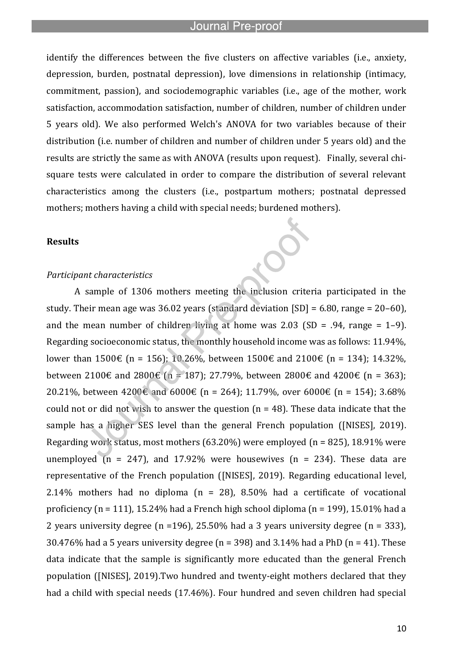l

identify the differences between the five clusters on affective variables (i.e., anxiety, depression, burden, postnatal depression), love dimensions in relationship (intimacy, commitment, passion), and sociodemographic variables (i.e., age of the mother, work satisfaction, accommodation satisfaction, number of children, number of children under 5 years old). We also performed Welch's ANOVA for two variables because of their distribution (i.e. number of children and number of children under 5 years old) and the results are strictly the same as with ANOVA (results upon request). Finally, several chisquare tests were calculated in order to compare the distribution of several relevant characteristics among the clusters (i.e., postpartum mothers; postnatal depressed mothers; mothers having a child with special needs; burdened mothers).

# **Results**

#### *Participant characteristics*

A sample of 1306 mothers meeting the inclusion criteria participated in the study. Their mean age was  $36.02$  years (standard deviation  $[SD] = 6.80$ , range =  $20-60$ ), and the mean number of children living at home was  $2.03$  (SD = .94, range = 1-9). Regarding socioeconomic status, the monthly household income was as follows: 11.94%, lower than 1500€ (n = 156); 10.26%, between 1500€ and 2100€ (n = 134); 14.32%, between 2100€ and 2800€ (n = 187); 27.79%, between 2800€ and 4200€ (n = 363); 20.21%, between 4200€ and 6000€ (n = 264); 11.79%, over 6000€ (n = 154); 3.68% could not or did not wish to answer the question  $(n = 48)$ . These data indicate that the sample has a higher SES level than the general French population ([NISES], 2019). Regarding work status, most mothers  $(63.20\%)$  were employed  $(n = 825)$ , 18.91% were unemployed ( $n = 247$ ), and 17.92% were housewives ( $n = 234$ ). These data are representative of the French population ([NISES], 2019). Regarding educational level, 2.14% mothers had no diploma ( $n = 28$ ), 8.50% had a certificate of vocational proficiency (n = 111), 15.24% had a French high school diploma (n = 199), 15.01% had a 2 years university degree (n =196), 25.50% had a 3 years university degree (n = 333), 30.476% had a 5 years university degree ( $n = 398$ ) and 3.14% had a PhD ( $n = 41$ ). These data indicate that the sample is significantly more educated than the general French population ([NISES], 2019).Two hundred and twenty-eight mothers declared that they had a child with special needs (17.46%). Four hundred and seven children had special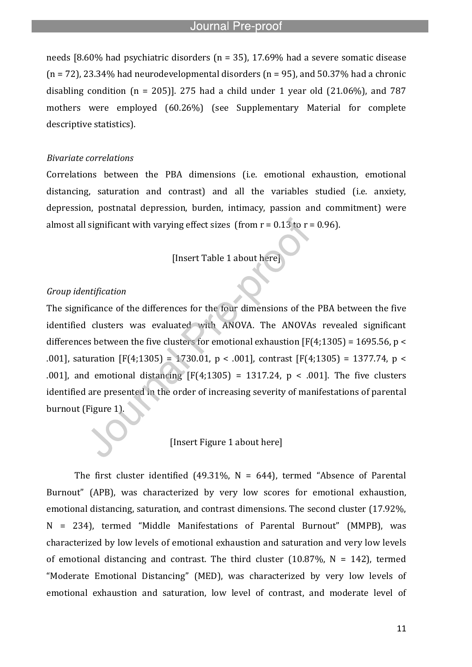l

needs [8.60% had psychiatric disorders (n = 35), 17.69% had a severe somatic disease  $(n = 72)$ , 23.34% had neurodevelopmental disorders  $(n = 95)$ , and 50.37% had a chronic disabling condition  $(n = 205)$ ]. 275 had a child under 1 year old  $(21.06\%)$ , and 787 mothers were employed (60.26%) (see Supplementary Material for complete descriptive statistics).

#### *Bivariate correlations*

Correlations between the PBA dimensions (i.e. emotional exhaustion, emotional distancing, saturation and contrast) and all the variables studied (i.e. anxiety, depression, postnatal depression, burden, intimacy, passion and commitment) were almost all significant with varying effect sizes (from  $r = 0.13$  to  $r = 0.96$ ).

[Insert Table 1 about here]

### *Group identification*

The significance of the differences for the four dimensions of the PBA between the five identified clusters was evaluated with ANOVA. The ANOVAs revealed significant differences between the five clusters for emotional exhaustion  $[F(4;1305) = 1695.56, p <$ .001], saturation [F(4;1305) = 1730.01, p < .001], contrast [F(4;1305) = 1377.74, p < .001], and emotional distancing  $[F(4;1305) = 1317.24, p < .001]$ . The five clusters identified are presented in the order of increasing severity of manifestations of parental burnout (Figure 1).

# [Insert Figure 1 about here]

The first cluster identified (49.31%,  $N = 644$ ), termed "Absence of Parental Burnout" (APB), was characterized by very low scores for emotional exhaustion, emotional distancing, saturation, and contrast dimensions. The second cluster (17.92%, N = 234), termed "Middle Manifestations of Parental Burnout" (MMPB), was characterized by low levels of emotional exhaustion and saturation and very low levels of emotional distancing and contrast. The third cluster  $(10.87\% \text{ N} = 142)$ , termed "Moderate Emotional Distancing" (MED), was characterized by very low levels of emotional exhaustion and saturation, low level of contrast, and moderate level of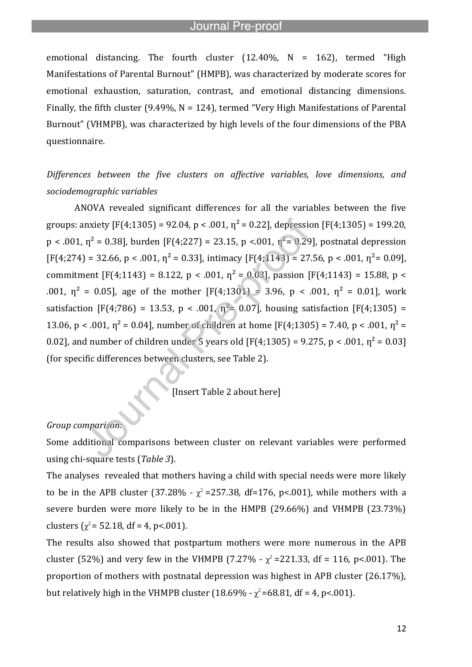l

emotional distancing. The fourth cluster  $(12.40\%$ , N = 162), termed "High Manifestations of Parental Burnout" (HMPB), was characterized by moderate scores for emotional exhaustion, saturation, contrast, and emotional distancing dimensions. Finally, the fifth cluster (9.49%,  $N = 124$ ), termed "Very High Manifestations of Parental Burnout" (VHMPB), was characterized by high levels of the four dimensions of the PBA questionnaire.

*Differences between the five clusters on affective variables, love dimensions, and sociodemographic variables*

ANOVA revealed significant differences for all the variables between the five groups: anxiety  $[F(4;1305) = 92.04$ , p < .001,  $n^2 = 0.22$ , depression  $[F(4;1305) = 199.20$ ,  $p < .001$ ,  $p^2 = 0.38$ ], burden [F(4;227) = 23.15, p <.001,  $p^2 = 0.29$ ], postnatal depression  $[F(4;274) = 32.66, p < .001, \eta^2 = 0.33]$ , intimacy  $[F(4;1143) = 27.56, p < .001, \eta^2 = 0.09]$ , commitment  $[F(4;1143) = 8.122, p < .001, n^2 = 0.03]$ , passion  $[F(4;1143) = 15.88, p < .001, n^2 = .003]$ .001,  $\eta^2$  = 0.05], age of the mother [F(4;1301) = 3.96, p < .001,  $\eta^2$  = 0.01], work satisfaction [F(4;786) = 13.53, p < .001,  $p^2$  = 0.07], housing satisfaction [F(4;1305) = 13.06, p < .001,  $\eta^2$  = 0.04], number of children at home [F(4;1305) = 7.40, p < .001,  $\eta^2$  = 0.02], and number of children under 5 years old [F(4;1305) = 9.275, p < .001,  $n^2 = 0.03$ ] (for specific differences between clusters, see Table 2).

[Insert Table 2 about here]

# *Group comparison:*

Some additional comparisons between cluster on relevant variables were performed using chi-square tests (*Table 3*).

The analyses revealed that mothers having a child with special needs were more likely to be in the APB cluster (37.28% -  $\chi^2$  =257.38, df=176, p<.001), while mothers with a severe burden were more likely to be in the HMPB (29.66%) and VHMPB (23.73%) clusters  $(\chi^2 = 52.18, df = 4, p < .001)$ .

The results also showed that postpartum mothers were more numerous in the APB cluster (52%) and very few in the VHMPB (7.27% -  $\chi^2$  =221.33, df = 116, p<.001). The proportion of mothers with postnatal depression was highest in APB cluster (26.17%), but relatively high in the VHMPB cluster (18.69% -  $\chi^2$ =68.81, df = 4, p<.001).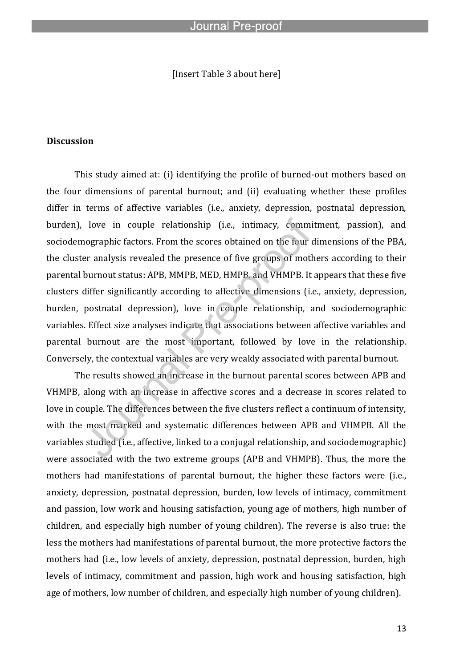# [Insert Table 3 about here]

l

#### **Discussion**

This study aimed at: (i) identifying the profile of burned-out mothers based on the four dimensions of parental burnout; and (ii) evaluating whether these profiles differ in terms of affective variables (i.e., anxiety, depression, postnatal depression, burden), love in couple relationship (i.e., intimacy, commitment, passion), and sociodemographic factors. From the scores obtained on the four dimensions of the PBA, the cluster analysis revealed the presence of five groups of mothers according to their parental burnout status: APB, MMPB, MED, HMPB, and VHMPB. It appears that these five clusters differ significantly according to affective dimensions (i.e., anxiety, depression, burden, postnatal depression), love in couple relationship, and sociodemographic variables. Effect size analyses indicate that associations between affective variables and parental burnout are the most important, followed by love in the relationship. Conversely, the contextual variables are very weakly associated with parental burnout.

The results showed an increase in the burnout parental scores between APB and VHMPB, along with an increase in affective scores and a decrease in scores related to love in couple. The differences between the five clusters reflect a continuum of intensity, with the most marked and systematic differences between APB and VHMPB. All the variables studied (i.e., affective, linked to a conjugal relationship, and sociodemographic) were associated with the two extreme groups (APB and VHMPB). Thus, the more the mothers had manifestations of parental burnout, the higher these factors were (i.e., anxiety, depression, postnatal depression, burden, low levels of intimacy, commitment and passion, low work and housing satisfaction, young age of mothers, high number of children, and especially high number of young children). The reverse is also true: the less the mothers had manifestations of parental burnout, the more protective factors the mothers had (i.e., low levels of anxiety, depression, postnatal depression, burden, high levels of intimacy, commitment and passion, high work and housing satisfaction, high age of mothers, low number of children, and especially high number of young children).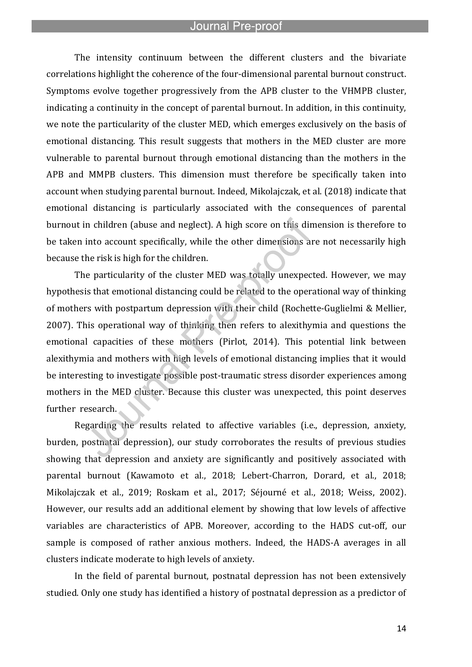l

The intensity continuum between the different clusters and the bivariate correlations highlight the coherence of the four-dimensional parental burnout construct. Symptoms evolve together progressively from the APB cluster to the VHMPB cluster, indicating a continuity in the concept of parental burnout. In addition, in this continuity, we note the particularity of the cluster MED, which emerges exclusively on the basis of emotional distancing. This result suggests that mothers in the MED cluster are more vulnerable to parental burnout through emotional distancing than the mothers in the APB and MMPB clusters. This dimension must therefore be specifically taken into account when studying parental burnout. Indeed, Mikolajczak, et al. (2018) indicate that emotional distancing is particularly associated with the consequences of parental burnout in children (abuse and neglect). A high score on this dimension is therefore to be taken into account specifically, while the other dimensions are not necessarily high because the risk is high for the children.

The particularity of the cluster MED was totally unexpected. However, we may hypothesis that emotional distancing could be related to the operational way of thinking of mothers with postpartum depression with their child (Rochette-Guglielmi & Mellier, 2007). This operational way of thinking then refers to alexithymia and questions the emotional capacities of these mothers (Pirlot, 2014). This potential link between alexithymia and mothers with high levels of emotional distancing implies that it would be interesting to investigate possible post-traumatic stress disorder experiences among mothers in the MED cluster. Because this cluster was unexpected, this point deserves further research.

Regarding the results related to affective variables (i.e., depression, anxiety, burden, postnatal depression), our study corroborates the results of previous studies showing that depression and anxiety are significantly and positively associated with parental burnout (Kawamoto et al., 2018; Lebert-Charron, Dorard, et al., 2018; Mikolajczak et al., 2019; Roskam et al., 2017; Séjourné et al., 2018; Weiss, 2002). However, our results add an additional element by showing that low levels of affective variables are characteristics of APB. Moreover, according to the HADS cut-off, our sample is composed of rather anxious mothers. Indeed, the HADS-A averages in all clusters indicate moderate to high levels of anxiety.

In the field of parental burnout, postnatal depression has not been extensively studied. Only one study has identified a history of postnatal depression as a predictor of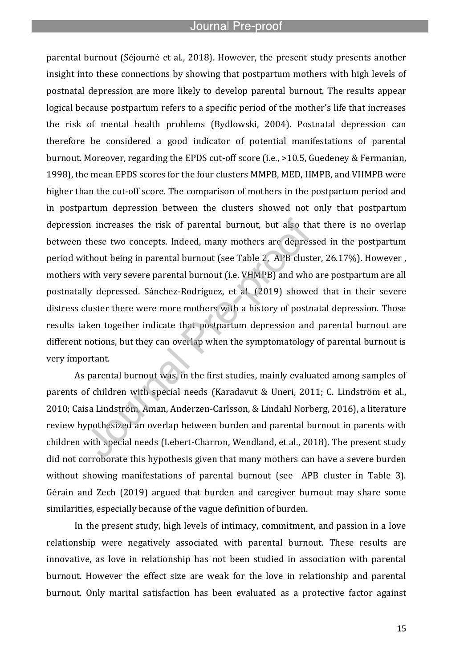l

parental burnout (Séjourné et al., 2018). However, the present study presents another insight into these connections by showing that postpartum mothers with high levels of postnatal depression are more likely to develop parental burnout. The results appear logical because postpartum refers to a specific period of the mother's life that increases the risk of mental health problems (Bydlowski, 2004). Postnatal depression can therefore be considered a good indicator of potential manifestations of parental burnout. Moreover, regarding the EPDS cut-off score (i.e., >10.5, Guedeney & Fermanian, 1998), the mean EPDS scores for the four clusters MMPB, MED, HMPB, and VHMPB were higher than the cut-off score. The comparison of mothers in the postpartum period and in postpartum depression between the clusters showed not only that postpartum depression increases the risk of parental burnout, but also that there is no overlap between these two concepts. Indeed, many mothers are depressed in the postpartum period without being in parental burnout (see Table 2, APB cluster, 26.17%). However , mothers with very severe parental burnout (i.e. VHMPB) and who are postpartum are all postnatally depressed. Sánchez-Rodríguez, et al. (2019) showed that in their severe distress cluster there were more mothers with a history of postnatal depression. Those results taken together indicate that postpartum depression and parental burnout are different notions, but they can overlap when the symptomatology of parental burnout is very important.

As parental burnout was, in the first studies, mainly evaluated among samples of parents of children with special needs (Karadavut & Uneri, 2011; C. Lindström et al., 2010; Caisa Lindström, Aman, Anderzen-Carlsson, & Lindahl Norberg, 2016), a literature review hypothesized an overlap between burden and parental burnout in parents with children with special needs (Lebert-Charron, Wendland, et al., 2018). The present study did not corroborate this hypothesis given that many mothers can have a severe burden without showing manifestations of parental burnout (see APB cluster in Table 3). Gérain and Zech (2019) argued that burden and caregiver burnout may share some similarities, especially because of the vague definition of burden.

In the present study, high levels of intimacy, commitment, and passion in a love relationship were negatively associated with parental burnout. These results are innovative, as love in relationship has not been studied in association with parental burnout. However the effect size are weak for the love in relationship and parental burnout. Only marital satisfaction has been evaluated as a protective factor against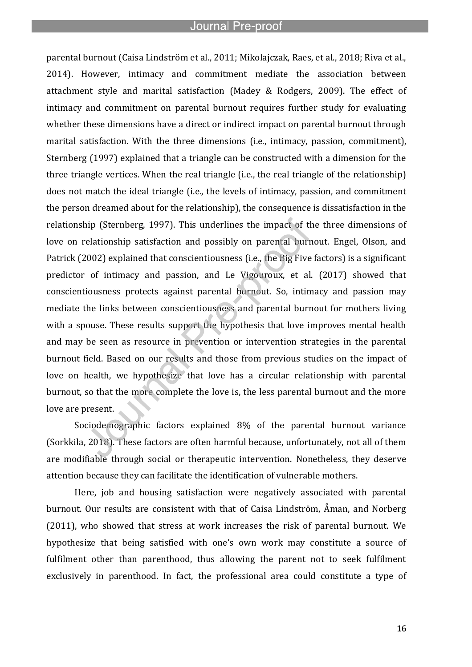l

parental burnout (Caisa Lindström et al., 2011; Mikolajczak, Raes, et al., 2018; Riva et al., 2014). However, intimacy and commitment mediate the association between attachment style and marital satisfaction (Madey & Rodgers, 2009). The effect of intimacy and commitment on parental burnout requires further study for evaluating whether these dimensions have a direct or indirect impact on parental burnout through marital satisfaction. With the three dimensions (i.e., intimacy, passion, commitment), Sternberg (1997) explained that a triangle can be constructed with a dimension for the three triangle vertices. When the real triangle (i.e., the real triangle of the relationship) does not match the ideal triangle (i.e., the levels of intimacy, passion, and commitment the person dreamed about for the relationship), the consequence is dissatisfaction in the relationship (Sternberg, 1997). This underlines the impact of the three dimensions of love on relationship satisfaction and possibly on parental burnout. Engel, Olson, and Patrick (2002) explained that conscientiousness (i.e., the Big Five factors) is a significant predictor of intimacy and passion, and Le Vigouroux, et al. (2017) showed that conscientiousness protects against parental burnout. So, intimacy and passion may mediate the links between conscientiousness and parental burnout for mothers living with a spouse. These results support the hypothesis that love improves mental health and may be seen as resource in prevention or intervention strategies in the parental burnout field. Based on our results and those from previous studies on the impact of love on health, we hypothesize that love has a circular relationship with parental burnout, so that the more complete the love is, the less parental burnout and the more love are present.

Sociodemographic factors explained 8% of the parental burnout variance (Sorkkila, 2018). These factors are often harmful because, unfortunately, not all of them are modifiable through social or therapeutic intervention. Nonetheless, they deserve attention because they can facilitate the identification of vulnerable mothers.

Here, job and housing satisfaction were negatively associated with parental burnout. Our results are consistent with that of Caisa Lindström, Åman, and Norberg (2011), who showed that stress at work increases the risk of parental burnout. We hypothesize that being satisfied with one's own work may constitute a source of fulfilment other than parenthood, thus allowing the parent not to seek fulfilment exclusively in parenthood. In fact, the professional area could constitute a type of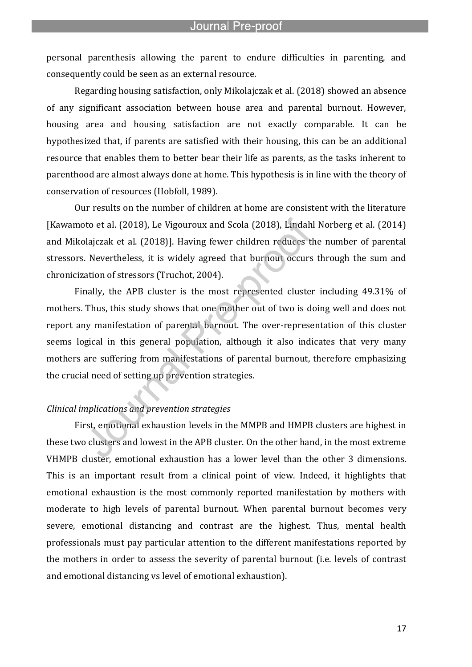personal parenthesis allowing the parent to endure difficulties in parenting, and consequently could be seen as an external resource.

l

Regarding housing satisfaction, only Mikolajczak et al. (2018) showed an absence of any significant association between house area and parental burnout. However, housing area and housing satisfaction are not exactly comparable. It can be hypothesized that, if parents are satisfied with their housing, this can be an additional resource that enables them to better bear their life as parents, as the tasks inherent to parenthood are almost always done at home. This hypothesis is in line with the theory of conservation of resources (Hobfoll, 1989).

Our results on the number of children at home are consistent with the literature [Kawamoto et al. (2018), Le Vigouroux and Scola (2018), Lindahl Norberg et al. (2014) and Mikolajczak et al. (2018)]. Having fewer children reduces the number of parental stressors. Nevertheless, it is widely agreed that burnout occurs through the sum and chronicization of stressors (Truchot, 2004).

Finally, the APB cluster is the most represented cluster including 49.31% of mothers. Thus, this study shows that one mother out of two is doing well and does not report any manifestation of parental burnout. The over-representation of this cluster seems logical in this general population, although it also indicates that very many mothers are suffering from manifestations of parental burnout, therefore emphasizing the crucial need of setting up prevention strategies.

# *Clinical implications and prevention strategies*

First, emotional exhaustion levels in the MMPB and HMPB clusters are highest in these two clusters and lowest in the APB cluster. On the other hand, in the most extreme VHMPB cluster, emotional exhaustion has a lower level than the other 3 dimensions. This is an important result from a clinical point of view. Indeed, it highlights that emotional exhaustion is the most commonly reported manifestation by mothers with moderate to high levels of parental burnout. When parental burnout becomes very severe, emotional distancing and contrast are the highest. Thus, mental health professionals must pay particular attention to the different manifestations reported by the mothers in order to assess the severity of parental burnout (i.e. levels of contrast and emotional distancing vs level of emotional exhaustion).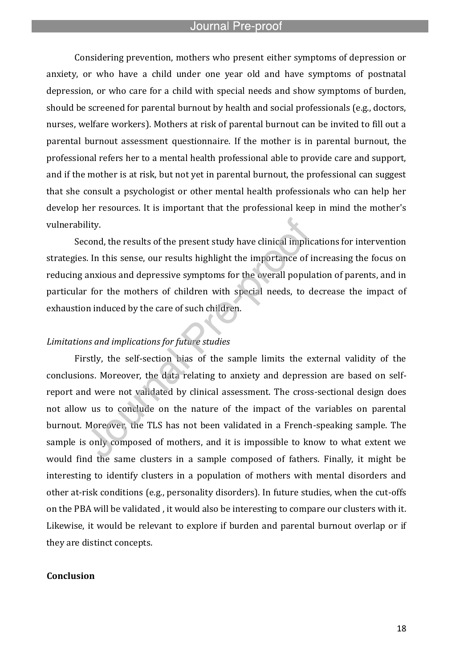l

Considering prevention, mothers who present either symptoms of depression or anxiety, or who have a child under one year old and have symptoms of postnatal depression, or who care for a child with special needs and show symptoms of burden, should be screened for parental burnout by health and social professionals (e.g., doctors, nurses, welfare workers). Mothers at risk of parental burnout can be invited to fill out a parental burnout assessment questionnaire. If the mother is in parental burnout, the professional refers her to a mental health professional able to provide care and support, and if the mother is at risk, but not yet in parental burnout, the professional can suggest that she consult a psychologist or other mental health professionals who can help her develop her resources. It is important that the professional keep in mind the mother's vulnerability.

Second, the results of the present study have clinical implications for intervention strategies. In this sense, our results highlight the importance of increasing the focus on reducing anxious and depressive symptoms for the overall population of parents, and in particular for the mothers of children with special needs, to decrease the impact of exhaustion induced by the care of such children.

#### *Limitations and implications for future studies*

Firstly, the self-section bias of the sample limits the external validity of the conclusions. Moreover, the data relating to anxiety and depression are based on selfreport and were not validated by clinical assessment. The cross-sectional design does not allow us to conclude on the nature of the impact of the variables on parental burnout. Moreover, the TLS has not been validated in a French-speaking sample. The sample is only composed of mothers, and it is impossible to know to what extent we would find the same clusters in a sample composed of fathers. Finally, it might be interesting to identify clusters in a population of mothers with mental disorders and other at-risk conditions (e.g., personality disorders). In future studies, when the cut-offs on the PBA will be validated , it would also be interesting to compare our clusters with it. Likewise, it would be relevant to explore if burden and parental burnout overlap or if they are distinct concepts.

# **Conclusion**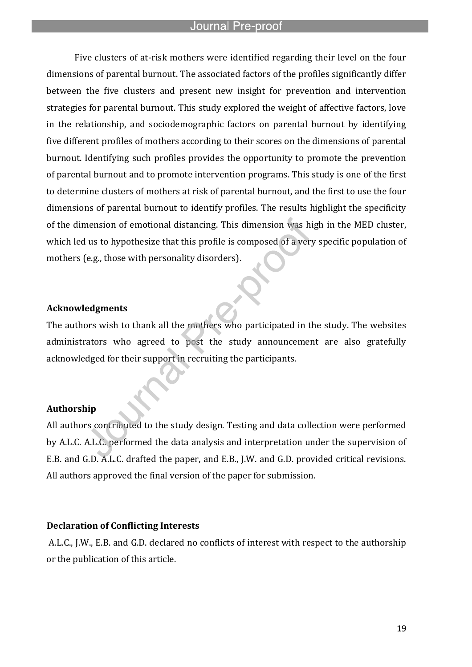l

Five clusters of at-risk mothers were identified regarding their level on the four dimensions of parental burnout. The associated factors of the profiles significantly differ between the five clusters and present new insight for prevention and intervention strategies for parental burnout. This study explored the weight of affective factors, love in the relationship, and sociodemographic factors on parental burnout by identifying five different profiles of mothers according to their scores on the dimensions of parental burnout. Identifying such profiles provides the opportunity to promote the prevention of parental burnout and to promote intervention programs. This study is one of the first to determine clusters of mothers at risk of parental burnout, and the first to use the four dimensions of parental burnout to identify profiles. The results highlight the specificity of the dimension of emotional distancing. This dimension was high in the MED cluster, which led us to hypothesize that this profile is composed of a very specific population of mothers (e.g., those with personality disorders).

# **Acknowledgments**

The authors wish to thank all the mothers who participated in the study. The websites administrators who agreed to post the study announcement are also gratefully acknowledged for their support in recruiting the participants.

#### **Authorship**

All authors contributed to the study design. Testing and data collection were performed by A.L.C. A.L.C. performed the data analysis and interpretation under the supervision of E.B. and G.D. A.L.C. drafted the paper, and E.B., J.W. and G.D. provided critical revisions. All authors approved the final version of the paper for submission.

#### **Declaration of Conflicting Interests**

A.L.C., J.W., E.B. and G.D. declared no conflicts of interest with respect to the authorship or the publication of this article.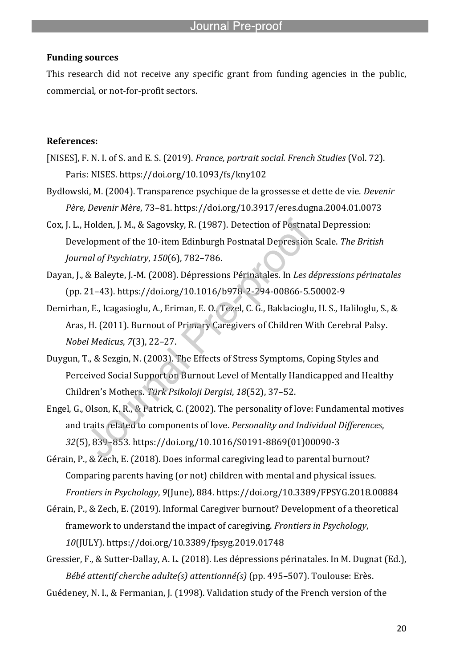# **Funding sources**

This research did not receive any specific grant from funding agencies in the public, commercial, or not-for-profit sectors.

l

# **References:**

- [NISES], F. N. I. of S. and E. S. (2019). *France, portrait social. French Studies* (Vol. 72). Paris: NISES. https://doi.org/10.1093/fs/kny102
- Bydlowski, M. (2004). Transparence psychique de la grossesse et dette de vie. *Devenir Père, Devenir Mère*, 73–81. https://doi.org/10.3917/eres.dugna.2004.01.0073
- Cox, J. L., Holden, J. M., & Sagovsky, R. (1987). Detection of Postnatal Depression: Development of the 10-item Edinburgh Postnatal Depression Scale. *The British Journal of Psychiatry*, *150*(6), 782–786.
- Dayan, J., & Baleyte, J.-M. (2008). Dépressions Périnatales. In *Les dépressions périnatales* (pp. 21–43). https://doi.org/10.1016/b978-2-294-00866-5.50002-9
- Demirhan, E., Icagasioglu, A., Eriman, E. O., Tezel, C. G., Baklacioglu, H. S., Haliloglu, S., & Aras, H. (2011). Burnout of Primary Caregivers of Children With Cerebral Palsy. *Nobel Medicus*, *7*(3), 22–27.
- Duygun, T., & Sezgin, N. (2003). The Effects of Stress Symptoms, Coping Styles and Perceived Social Support on Burnout Level of Mentally Handicapped and Healthy Children's Mothers. *Türk Psikoloji Dergisi*, *18*(52), 37–52.
- Engel, G., Olson, K. R., & Patrick, C. (2002). The personality of love: Fundamental motives and traits related to components of love. *Personality and Individual Differences*, *32*(5), 839–853. https://doi.org/10.1016/S0191-8869(01)00090-3
- Gérain, P., & Zech, E. (2018). Does informal caregiving lead to parental burnout? Comparing parents having (or not) children with mental and physical issues. *Frontiers in Psychology*, *9*(June), 884. https://doi.org/10.3389/FPSYG.2018.00884
- Gérain, P., & Zech, E. (2019). Informal Caregiver burnout? Development of a theoretical framework to understand the impact of caregiving. *Frontiers in Psychology*, *10*(JULY). https://doi.org/10.3389/fpsyg.2019.01748
- Gressier, F., & Sutter-Dallay, A. L. (2018). Les dépressions périnatales. In M. Dugnat (Ed.), *Bébé attentif cherche adulte(s) attentionné(s)* (pp. 495–507). Toulouse: Erès.
- Guédeney, N. I., & Fermanian, J. (1998). Validation study of the French version of the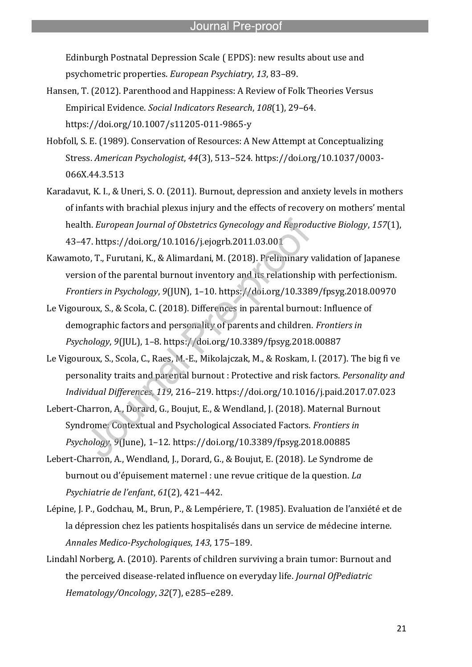Edinburgh Postnatal Depression Scale ( EPDS): new results about use and psychometric properties. *European Psychiatry*, *13*, 83–89.

l

- Hansen, T. (2012). Parenthood and Happiness: A Review of Folk Theories Versus Empirical Evidence. *Social Indicators Research*, *108*(1), 29–64. https://doi.org/10.1007/s11205-011-9865-y
- Hobfoll, S. E. (1989). Conservation of Resources: A New Attempt at Conceptualizing Stress. *American Psychologist*, *44*(3), 513–524. https://doi.org/10.1037/0003- 066X.44.3.513
- Karadavut, K. I., & Uneri, S. O. (2011). Burnout, depression and anxiety levels in mothers of infants with brachial plexus injury and the effects of recovery on mothers' mental health. *European Journal of Obstetrics Gynecology and Reproductive Biology*, *157*(1), 43–47. https://doi.org/10.1016/j.ejogrb.2011.03.001
- Kawamoto, T., Furutani, K., & Alimardani, M. (2018). Preliminary validation of Japanese version of the parental burnout inventory and its relationship with perfectionism. *Frontiers in Psychology*, *9*(JUN), 1–10. https://doi.org/10.3389/fpsyg.2018.00970
- Le Vigouroux, S., & Scola, C. (2018). Differences in parental burnout: Influence of demographic factors and personality of parents and children. *Frontiers in Psychology*, *9*(JUL), 1–8. https://doi.org/10.3389/fpsyg.2018.00887
- Le Vigouroux, S., Scola, C., Raes, M.-E., Mikolajczak, M., & Roskam, I. (2017). The big fi ve personality traits and parental burnout : Protective and risk factors. *Personality and Individual Differences*, *119*, 216–219. https://doi.org/10.1016/j.paid.2017.07.023
- Lebert-Charron, A., Dorard, G., Boujut, E., & Wendland, J. (2018). Maternal Burnout Syndrome: Contextual and Psychological Associated Factors. *Frontiers in Psychology*, *9*(June), 1–12. https://doi.org/10.3389/fpsyg.2018.00885
- Lebert-Charron, A., Wendland, J., Dorard, G., & Boujut, E. (2018). Le Syndrome de burnout ou d'épuisement maternel : une revue critique de la question. *La Psychiatrie de l'enfant*, *61*(2), 421–442.
- Lépine, J. P., Godchau, M., Brun, P., & Lempériere, T. (1985). Evaluation de l'anxiété et de la dépression chez les patients hospitalisés dans un service de médecine interne. *Annales Medico-Psychologiques*, *143*, 175–189.
- Lindahl Norberg, A. (2010). Parents of children surviving a brain tumor: Burnout and the perceived disease-related influence on everyday life. *Journal OfPediatric Hematology/Oncology*, *32*(7), e285–e289.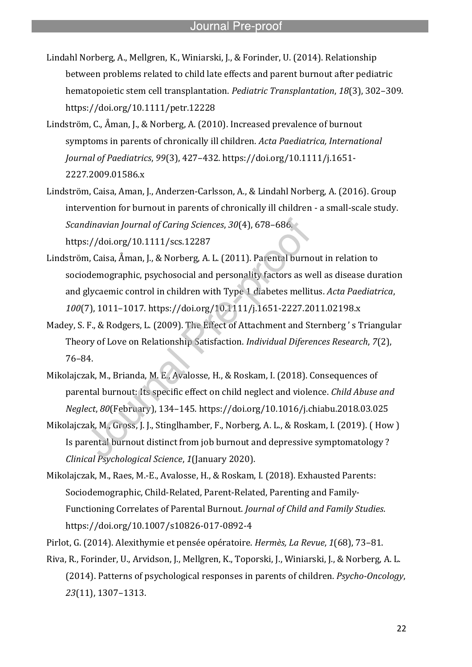Lindahl Norberg, A., Mellgren, K., Winiarski, J., & Forinder, U. (2014). Relationship between problems related to child late effects and parent burnout after pediatric hematopoietic stem cell transplantation. *Pediatric Transplantation*, *18*(3), 302–309. https://doi.org/10.1111/petr.12228

l

- Lindström, C., Åman, J., & Norberg, A. (2010). Increased prevalence of burnout symptoms in parents of chronically ill children. *Acta Paediatrica, International Journal of Paediatrics*, *99*(3), 427–432. https://doi.org/10.1111/j.1651- 2227.2009.01586.x
- Lindström, Caisa, Aman, J., Anderzen-Carlsson, A., & Lindahl Norberg, A. (2016). Group intervention for burnout in parents of chronically ill children - a small-scale study. *Scandinavian Journal of Caring Sciences*, *30*(4), 678–686. https://doi.org/10.1111/scs.12287
- Lindström, Caisa, Åman, J., & Norberg, A. L. (2011). Parental burnout in relation to sociodemographic, psychosocial and personality factors as well as disease duration and glycaemic control in children with Type 1 diabetes mellitus. *Acta Paediatrica*, *100*(7), 1011–1017. https://doi.org/10.1111/j.1651-2227.2011.02198.x
- Madey, S. F., & Rodgers, L. (2009). The Effect of Attachment and Sternberg ' s Triangular Theory of Love on Relationship Satisfaction. *Individual Diferences Research*, *7*(2), 76–84.
- Mikolajczak, M., Brianda, M. E., Avalosse, H., & Roskam, I. (2018). Consequences of parental burnout: Its specific effect on child neglect and violence. *Child Abuse and Neglect*, *80*(February), 134–145. https://doi.org/10.1016/j.chiabu.2018.03.025
- Mikolajczak, M., Gross, J. J., Stinglhamber, F., Norberg, A. L., & Roskam, I. (2019). ( How ) Is parental burnout distinct from job burnout and depressive symptomatology ? *Clinical Psychological Science*, *1*(January 2020).
- Mikolajczak, M., Raes, M.-E., Avalosse, H., & Roskam, I. (2018). Exhausted Parents: Sociodemographic, Child-Related, Parent-Related, Parenting and Family-Functioning Correlates of Parental Burnout. *Journal of Child and Family Studies*. https://doi.org/10.1007/s10826-017-0892-4
- Pirlot, G. (2014). Alexithymie et pensée opératoire. *Hermès, La Revue*, *1*(68), 73–81.
- Riva, R., Forinder, U., Arvidson, J., Mellgren, K., Toporski, J., Winiarski, J., & Norberg, A. L. (2014). Patterns of psychological responses in parents of children. *Psycho-Oncology*, *23*(11), 1307–1313.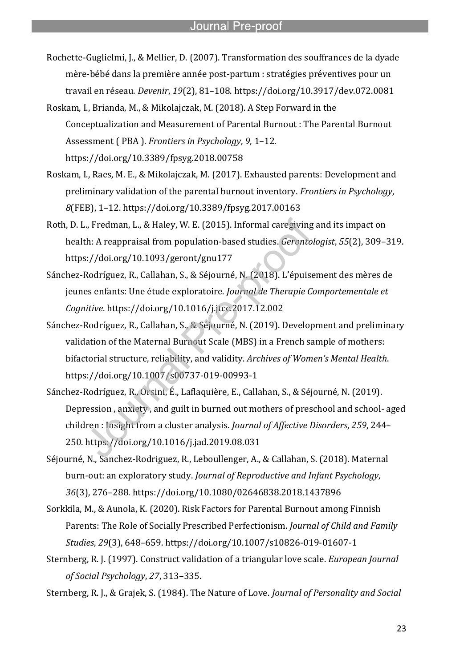Rochette-Guglielmi, J., & Mellier, D. (2007). Transformation des souffrances de la dyade mère-bébé dans la première année post-partum : stratégies préventives pour un travail en réseau. *Devenir*, *19*(2), 81–108. https://doi.org/10.3917/dev.072.0081

l

- Roskam, I., Brianda, M., & Mikolajczak, M. (2018). A Step Forward in the Conceptualization and Measurement of Parental Burnout : The Parental Burnout Assessment ( PBA ). *Frontiers in Psychology*, *9*, 1–12. https://doi.org/10.3389/fpsyg.2018.00758
- Roskam, I., Raes, M. E., & Mikolajczak, M. (2017). Exhausted parents: Development and preliminary validation of the parental burnout inventory. *Frontiers in Psychology*, *8*(FEB), 1–12. https://doi.org/10.3389/fpsyg.2017.00163
- Roth, D. L., Fredman, L., & Haley, W. E. (2015). Informal caregiving and its impact on health: A reappraisal from population-based studies. *Gerontologist*, *55*(2), 309–319. https://doi.org/10.1093/geront/gnu177
- Sánchez-Rodríguez, R., Callahan, S., & Séjourné, N. (2018). L'épuisement des mères de jeunes enfants: Une étude exploratoire. *Journal de Therapie Comportementale et Cognitive*. https://doi.org/10.1016/j.jtcc.2017.12.002
- Sánchez-Rodríguez, R., Callahan, S., & Séjourné, N. (2019). Development and preliminary validation of the Maternal Burnout Scale (MBS) in a French sample of mothers: bifactorial structure, reliability, and validity. *Archives of Women's Mental Health*. https://doi.org/10.1007/s00737-019-00993-1
- Sánchez-Rodríguez, R., Orsini, É., Laflaquière, E., Callahan, S., & Séjourné, N. (2019). Depression , anxiety , and guilt in burned out mothers of preschool and school- aged children : Insight from a cluster analysis. *Journal of Affective Disorders*, *259*, 244– 250. https://doi.org/10.1016/j.jad.2019.08.031
- Séjourné, N., Sanchez-Rodriguez, R., Leboullenger, A., & Callahan, S. (2018). Maternal burn-out: an exploratory study. *Journal of Reproductive and Infant Psychology*, *36*(3), 276–288. https://doi.org/10.1080/02646838.2018.1437896
- Sorkkila, M., & Aunola, K. (2020). Risk Factors for Parental Burnout among Finnish Parents: The Role of Socially Prescribed Perfectionism. *Journal of Child and Family Studies*, *29*(3), 648–659. https://doi.org/10.1007/s10826-019-01607-1
- Sternberg, R. J. (1997). Construct validation of a triangular love scale. *European Journal of Social Psychology*, *27*, 313–335.
- Sternberg, R. J., & Grajek, S. (1984). The Nature of Love. *Journal of Personality and Social*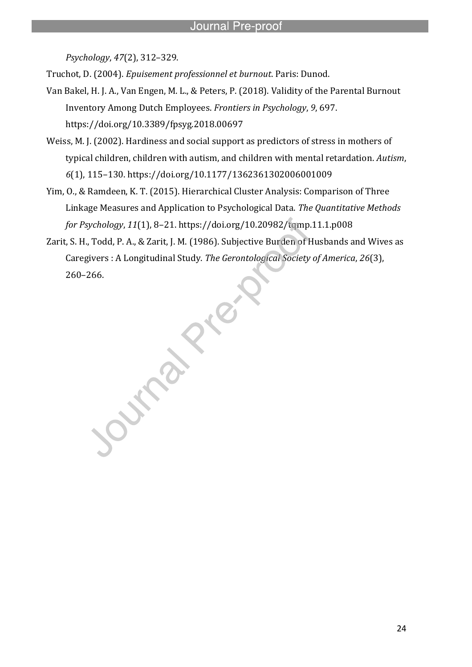*Psychology*, *47*(2), 312–329.

Truchot, D. (2004). *Epuisement professionnel et burnout*. Paris: Dunod.

l

- Van Bakel, H. J. A., Van Engen, M. L., & Peters, P. (2018). Validity of the Parental Burnout Inventory Among Dutch Employees. *Frontiers in Psychology*, *9*, 697. https://doi.org/10.3389/fpsyg.2018.00697
- Weiss, M. J. (2002). Hardiness and social support as predictors of stress in mothers of typical children, children with autism, and children with mental retardation. *Autism*, *6*(1), 115–130. https://doi.org/10.1177/1362361302006001009
- Yim, O., & Ramdeen, K. T. (2015). Hierarchical Cluster Analysis: Comparison of Three Linkage Measures and Application to Psychological Data. *The Quantitative Methods for Psychology*, *11*(1), 8–21. https://doi.org/10.20982/tqmp.11.1.p008
- Zarit, S. H., Todd, P. A., & Zarit, J. M. (1986). Subjective Burden of Husbands and Wives as Caregivers : A Longitudinal Study. *The Gerontological Society of America*, *26*(3), 260–266.

**PRAIL**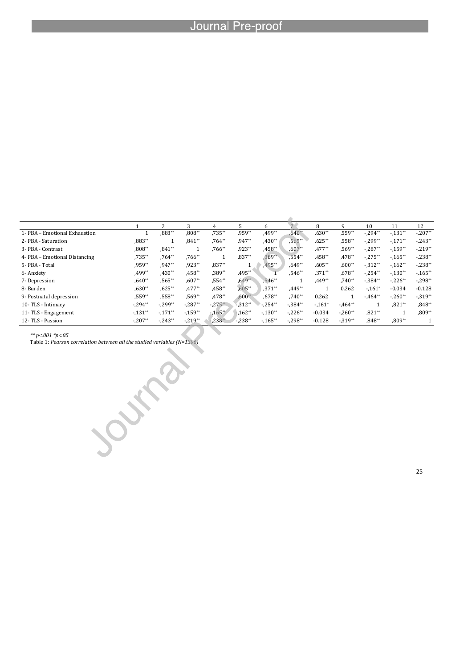l

|                               |            |                       | 3          |          |           | 6         |            | 8        | q          | 10         | 11         | 12         |
|-------------------------------|------------|-----------------------|------------|----------|-----------|-----------|------------|----------|------------|------------|------------|------------|
| 1- PBA - Emotional Exhaustion |            | ,883**                | $.808**$   | $.735**$ | .959**    | .499**    | $640*$     | $,630**$ | $,559**$   | $-294**$   | $-.131**$  | $-.207**$  |
| 2- PBA - Saturation           | .883**     |                       | $,841**$   | $.764**$ | $.947**$  | $.430**$  | $,565**$   | $.625**$ | $.558**$   | $-299**$   | $-.171**$  | $-243**$   |
| 3- PBA - Contrast             | .808**     | $,841**$              |            | $.766**$ | .923**    | $,458**$  | $,607**$   | $,477**$ | $,569**$   | $-0.287**$ | $-159**$   | $-219**$   |
| 4- PBA - Emotional Distancing | ,735**     | $,764**$              | $,766**$   |          | $.837**$  | 389**     | $.554**$   | $.458**$ | $.478**$   | $-275**$   | $-165**$   | $-238$ **  |
| 5- PBA - Total                | .959**     | $.947**$              | $.923**$   | $,837**$ |           | 495**     | $.649**$   | $.605**$ | $.600**$   | $-312**$   | $-162**$   | $-238$ **  |
| 6-Anxiety                     | ,499**     | $,430**$              | .458**     | ,389**   | .495**    |           | $.546**$   | $.371**$ | $,678**$   | $-0.254**$ | $-130**$   | $-165**$   |
| 7- Depression                 | $,640**$   | $.565**$              | $,607**$   | $,554**$ | $.649**$  | 546**     |            | $,449**$ | $.740**$   | $-0.384**$ | $-226**$   | $-298**$   |
| 8- Burden                     | $.630**$   | $.625**$              | $.477**$   | $,458**$ | $.605**$  | $.371**$  | $.449**$   |          | 0.262      | $-.161*$   | $-0.034$   | $-0.128$   |
| 9- Postnatal depression       | .559**     | $,558**$              | $.569**$   | $.478**$ | $,600$ ** | $.678**$  | $,740**$   | 0.262    |            | $-464**$   | $-0.260**$ | $-0.319**$ |
| 10-TLS - Intimacy             | $-294**$   | $-299**$              | $-0.287**$ | $-275**$ | $.312**$  | $-254**$  | $-0.384**$ | $-.161*$ | $-0.464**$ |            | $,821**$   | $,848**$   |
| 11- TLS - Engagement          | $-.131"$   | $-.171$ <sup>**</sup> | $-159**$   | $-165**$ | $-162**$  | $-.130**$ | $-.226**$  | $-0.034$ | $-.260**$  | $,821**$   |            | $,809**$   |
| 12- TLS - Passion             | $-0.207**$ | $-243**$              | $-219**$   | $-238$   | $-238**$  | $-165**$  | $-.298**$  | $-0.128$ | $-319**$   | $,848**$   | $,809**$   |            |

*\*\* p<.001 \*p<.05*

Table 1: *Pearson correlation between all the studied variables (N=1306)*

25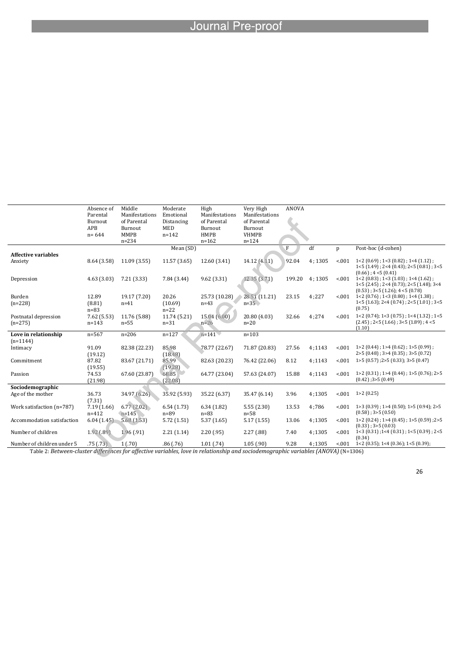l

|                            | Absence of  | Middle         | Moderate     | High           | Very High      | <b>ANOVA</b> |        |        |                                                 |
|----------------------------|-------------|----------------|--------------|----------------|----------------|--------------|--------|--------|-------------------------------------------------|
|                            | Parental    | Manifestations | Emotional    | Manifestations | Manifestations |              |        |        |                                                 |
|                            | Burnout     | of Parental    | Distancing   | of Parental    | of Parental    |              |        |        |                                                 |
|                            | APB         | Burnout        | <b>MED</b>   | Burnout        | Burnout        |              |        |        |                                                 |
|                            | $n = 644$   | <b>MMPB</b>    | $n = 142$    | <b>HMPB</b>    | <b>VHMPB</b>   |              |        |        |                                                 |
|                            |             | $n = 234$      |              | $n = 162$      | $n = 124$      |              |        |        |                                                 |
|                            |             |                | Mean (SD)    |                |                | F            | df     | p      | Post-hoc (d-cohen)                              |
| <b>Affective variables</b> |             |                |              |                |                |              |        |        |                                                 |
| Anxiety                    | 8.64 (3.58) | 11.09 (3.55)   | 11.57 (3.65) | 12.60 (3.41)   | 14.12 (4.11)   | 92.04        | 4:1305 | < 001  | $1<2$ (0.69); $1<3$ (0.82); $1<4$ (1.12);       |
|                            |             |                |              |                |                |              |        |        | $1<5$ (1.49); $2<4$ (0.43); $2<5$ (0.81); $3<5$ |
|                            |             |                |              |                |                |              |        |        | $(0.66)$ ; 4 < 5 $(0.41)$                       |
| Depression                 | 4.63(3.03)  | 7.21(3.33)     | 7.84 (3.44)  | 9.62(3.31)     | 12.35(3.71)    | 199.20       | 4:1305 | < 0.01 | $1 < 2$ (0.83); $1 < 3$ (1.03); $1 < 4$ (1.62); |
|                            |             |                |              |                |                |              |        |        | 1<5 (2.45) : 2<4 (0.73); 2<5 (1.48); 3<4        |
|                            |             |                |              |                |                |              |        |        | $(0.53)$ ; 3<5 $(1.26)$ ; 4 <5 $(0.78)$         |
| Burden                     | 12.89       | 19.17 (7.20)   | 20.26        | 25.73 (10.28)  | 28.51 (11.21)  | 23.15        | 4:227  | < 0.01 | $1 < 2$ (0.76); $1 < 3$ (0.80); $1 < 4$ (1.38); |
| $(n=228)$                  | (8.81)      | $n=41$         | (10.69)      | $n=43$         | $n=35$         |              |        |        | $1<5$ (1.63); $2<4$ (0.74); $2<5$ (1.01); $3<5$ |
|                            | $n=83$      |                | $n=22$       |                |                |              |        |        | (0.75)                                          |
| Postnatal depression       | 7.62(5.53)  | 11.76 (5.88)   | 11.74 (5.21) | 15.04(6.00)    | 20.80 (4.03)   | 32.66        | 4:274  | < 001  | $1<2$ (0.74); $1<3$ (0.75); $1<4$ (1.32); $1<5$ |
| $(n=275)$                  | $n = 143$   | $n=55$         | $n=31$       | $n=26$         | $n=20$         |              |        |        | $(2.45)$ ; 2<5 $(1.66)$ ; 3<5 $(1.89)$ ; 4 <5   |
|                            |             |                |              |                |                |              |        |        | (1.10)                                          |
| Love in relationship       | $n = 567$   | $n = 206$      | $n = 127$    | $n=141$        | $n = 103$      |              |        |        |                                                 |
| $(n=1144)$                 |             |                |              |                |                |              |        |        |                                                 |
| Intimacy                   | 91.09       | 82.38 (22.23)  | 85.98        | 78.77 (22.67)  | 71.87 (20.83)  | 27.56        | 4:1143 | < 001  | $1>2$ (0.44); $1>4$ (0.62); $1>5$ (0.99);       |
|                            | (19.12)     |                | (18.48)      |                |                |              |        |        | $2>5(0.48)$ ; $3>4(0.35)$ ; $3>5(0.72)$         |
| Commitment                 | 87.82       | 83.67 (21.71)  | 85.99        | 82.63 (20.23)  | 76.42 (22.06)  | 8.12         | 4:1143 | < 0.01 | $1>5(0.57)$ ; 2>5 $(0.33)$ ; 3>5 $(0.47)$       |
|                            | (19.55)     |                | (19.28)      |                |                |              |        |        |                                                 |
| Passion                    | 74.53       | 67.60 (23.87)  | 68.85        | 64.77 (23.04)  | 57.63 (24.07)  | 15.88        | 4:1143 | < 0.01 | $1>2$ (0.31); $1>4$ (0.44); $1>5$ (0.76); $2>5$ |
|                            | (21.98)     |                | (22.08)      |                |                |              |        |        | $(0.42)$ ; 3>5 $(0.49)$                         |
| Sociodemographic           |             |                |              |                |                |              |        |        |                                                 |
| Age of the mother          | 36.73       | 34.97 (6.26)   | 35.92 (5.93) | 35.22 (6.37)   | 35.47 (6.14)   | 3.96         | 4;1305 | < 001  | 1>2(0.25)                                       |
|                            | (7.31)      |                |              |                |                |              |        |        |                                                 |
| Work satisfaction (n=787)  | 7.19(1.66)  | 6.77(2.02)     | 6.54(1.73)   | 6.34(1.82)     | 5.55(2.30)     | 13.53        | 4:786  | < 001  | $1>3(0.39)$ ; $1>4(0.50)$ ; $1>5(0.94)$ ; $2>5$ |
|                            | $n = 412$   | $n = 145$      | $n = 89$     | $n = 83$       | $n = 58$       |              |        |        | $(0.58)$ ; 3>5 $(0.50)$                         |
| Accommodation satisfaction | 6.04(1.45)  | 5.68(1.53)     | 5.72(1.51)   | 5.37(1.65)     | 5.17(1.55)     | 13.06        | 4:1305 | < 0.01 | 1>2 (0.24); 1>4 (0.45); 1>5 (0.59); 2>5         |
|                            |             |                |              |                |                |              |        |        | $(0.33)$ : 3>5 $(0.03)$                         |
| Number of children         | 1.92(0.89)  | 1.96(0.91)     | 2.21(1.14)   | 2.20(0.95)     | 2.27(0.88)     | 7.40         | 4;1305 | < 0.01 | $1<3$ (0.31); $1<4$ (0.31); $1<5$ (0.39); $2<5$ |
|                            |             |                |              |                |                |              |        |        | (0.34)                                          |
| Number of children under 5 | .75(0.73)   | 1(.70)         | .86(.76)     | 1.01(74)       | 1.05(0.90)     | 9.28         | 4:1305 | < 0.01 | $1<2$ (0.35); $1<4$ (0.36); $1<5$ (0.39);       |

Table 2: *Between-cluster differences for affective variables, love in relationship and sociodemographic variables (ANOVA)* (N=1306)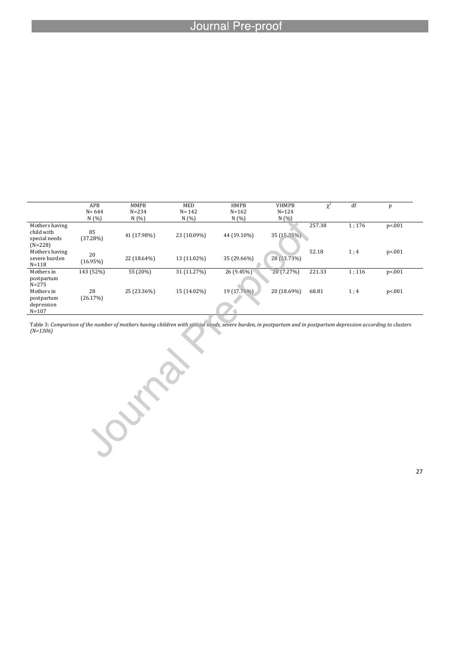l

|                                                            | APB            | <b>MMPB</b> | MED         | <b>HMPB</b> | <b>VHMPB</b> | $\mathbf{v}^2$ | df    | p       |
|------------------------------------------------------------|----------------|-------------|-------------|-------------|--------------|----------------|-------|---------|
|                                                            | $N = 644$      | $N = 234$   | $N = 142$   | $N = 162$   | $N = 124$    |                |       |         |
|                                                            | N(%            | N(%         | N(%         | N(%)        | N(%          |                |       |         |
| Mothers having<br>child with<br>special needs<br>$(N=228)$ | 85<br>(37.28%) | 41 (17.98%) | 23 (10.09%) | 44 (19.10%) | 35 (15.35%). | 257.38         | 1:176 | p < 001 |
| Mothers having<br>severe burden<br>$N = 118$               | 20<br>(16.95%) | 22 (18.64%) | 13 (11.02%) | 35 (29.66%) | 28 (23.73%)  | 52.18          | 1;4   | p < 001 |
| Mothers in                                                 | 143 (52%)      | 55 (20%)    | 31 (11.27%) | 26 (9.45%)  | 20 (7.27%)   | 221.33         | 1:116 | p < 001 |
| postpartum<br>$N = 275$<br>Mothers in                      | 28             | 25 (23.36%) | 15 (14.02%) | 19 (17.76%) | 20 (18.69%)  | 68.81          | 1;4   | p<.001  |
| postpartum<br>depression<br>$N = 107$                      | (26.17%)       |             |             |             |              |                |       |         |

Table 3: *Comparison of the number of mothers having children with special needs, severe burden, in postpartum and in postpartum depression according to clusters (N=1306)*

27